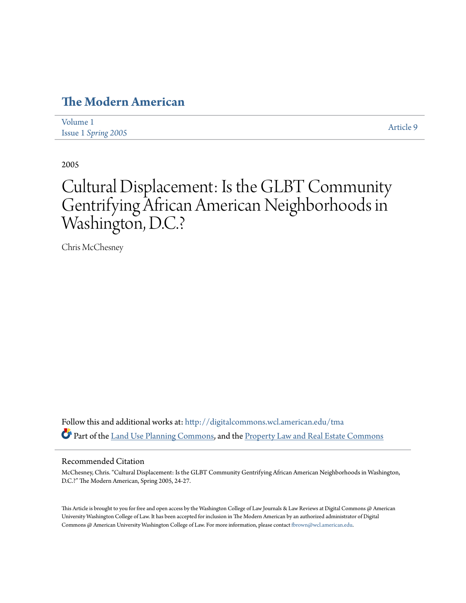## **[The Modern American](http://digitalcommons.wcl.american.edu/tma?utm_source=digitalcommons.wcl.american.edu%2Ftma%2Fvol1%2Fiss1%2F9&utm_medium=PDF&utm_campaign=PDFCoverPages)**

| Volume 1                   |  | Article 9 |
|----------------------------|--|-----------|
| <b>Issue 1 Spring 2005</b> |  |           |

2005

# Cultural Displacement: Is the GLBT Community Gentrifying African American Neighborhoods in Washington, D.C.?

Chris McChesney

Follow this and additional works at: [http://digitalcommons.wcl.american.edu/tma](http://digitalcommons.wcl.american.edu/tma?utm_source=digitalcommons.wcl.american.edu%2Ftma%2Fvol1%2Fiss1%2F9&utm_medium=PDF&utm_campaign=PDFCoverPages) Part of the [Land Use Planning Commons](http://network.bepress.com/hgg/discipline/852?utm_source=digitalcommons.wcl.american.edu%2Ftma%2Fvol1%2Fiss1%2F9&utm_medium=PDF&utm_campaign=PDFCoverPages), and the [Property Law and Real Estate Commons](http://network.bepress.com/hgg/discipline/897?utm_source=digitalcommons.wcl.american.edu%2Ftma%2Fvol1%2Fiss1%2F9&utm_medium=PDF&utm_campaign=PDFCoverPages)

### Recommended Citation

McChesney, Chris. "Cultural Displacement: Is the GLBT Community Gentrifying African American Neighborhoods in Washington, D.C.?" The Modern American, Spring 2005, 24-27.

This Article is brought to you for free and open access by the Washington College of Law Journals & Law Reviews at Digital Commons @ American University Washington College of Law. It has been accepted for inclusion in The Modern American by an authorized administrator of Digital Commons @ American University Washington College of Law. For more information, please contact [fbrown@wcl.american.edu](mailto:fbrown@wcl.american.edu).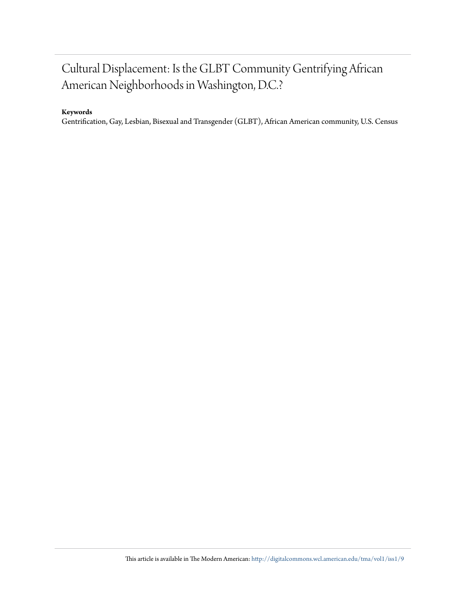## Cultural Displacement: Is the GLBT Community Gentrifying African American Neighborhoods in Washington, D.C.?

## **Keywords**

Gentrification, Gay, Lesbian, Bisexual and Transgender (GLBT), African American community, U.S. Census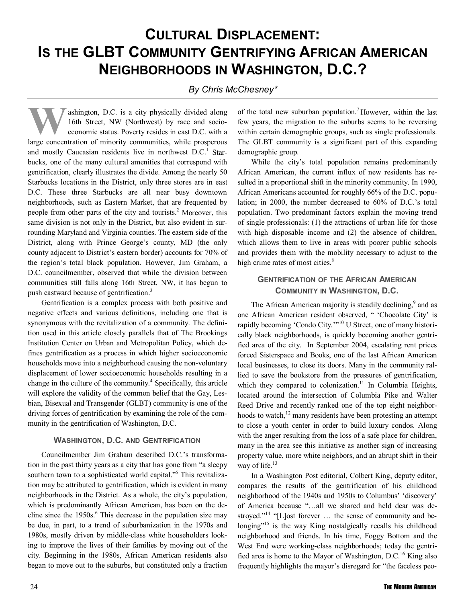## **CULTURAL DISPLACEMENT: IS THE GLBT COMMUNITY GENTRIFYING AFRICAN AMERICAN NEIGHBORHOODS IN WASHINGTON, D.C.?**

## *By Chris McChesney\**

**W** ashington, D.C. is a city physically divided along<br>16th Street, NW (Northwest) by race and socio-<br>economic status. Poverty resides in east D.C. with a 16th Street, NW (Northwest) by race and socioeconomic status. Poverty resides in east D.C. with a large concentration of minority communities, while prosperous and mostly Caucasian residents live in northwest  $D.C.<sup>1</sup>$  Starbucks, one of the many cultural amenities that correspond with gentrification, clearly illustrates the divide. Among the nearly 50 Starbucks locations in the District, only three stores are in east D.C. These three Starbucks are all near busy downtown neighborhoods, such as Eastern Market, that are frequented by people from other parts of the city and tourists.<sup>2</sup> Moreover, this same division is not only in the District, but also evident in surrounding Maryland and Virginia counties. The eastern side of the District, along with Prince George's county, MD (the only county adjacent to District's eastern border) accounts for 70% of the region's total black population. However, Jim Graham, a D.C. councilmember, observed that while the division between communities still falls along 16th Street, NW, it has begun to push eastward because of gentrification.<sup>3</sup>

Gentrification is a complex process with both positive and negative effects and various definitions, including one that is synonymous with the revitalization of a community. The definition used in this article closely parallels that of The Brookings Institution Center on Urban and Metropolitan Policy, which defines gentrification as a process in which higher socioeconomic households move into a neighborhood causing the non-voluntary displacement of lower socioeconomic households resulting in a change in the culture of the community.<sup>4</sup> Specifically, this article will explore the validity of the common belief that the Gay, Lesbian, Bisexual and Transgender (GLBT) community is one of the driving forces of gentrification by examining the role of the community in the gentrification of Washington, D.C.

## **WASHINGTON, D.C. AND GENTRIFICATION**

Councilmember Jim Graham described D.C.'s transformation in the past thirty years as a city that has gone from "a sleepy southern town to a sophisticated world capital."<sup>5</sup> This revitalization may be attributed to gentrification, which is evident in many neighborhoods in the District. As a whole, the city's population, which is predominantly African American, has been on the decline since the  $1950s$ .<sup>6</sup> This decrease in the population size may be due, in part, to a trend of suburbanization in the 1970s and 1980s, mostly driven by middle-class white householders looking to improve the lives of their families by moving out of the city. Beginning in the 1980s, African American residents also began to move out to the suburbs, but constituted only a fraction

of the total new suburban population.7 However, within the last few years, the migration to the suburbs seems to be reversing within certain demographic groups, such as single professionals. The GLBT community is a significant part of this expanding demographic group.

While the city's total population remains predominantly African American, the current influx of new residents has resulted in a proportional shift in the minority community. In 1990, African Americans accounted for roughly 66% of the D.C. population; in 2000, the number decreased to 60% of D.C.'s total population. Two predominant factors explain the moving trend of single professionals: (1) the attractions of urban life for those with high disposable income and (2) the absence of children, which allows them to live in areas with poorer public schools and provides them with the mobility necessary to adjust to the high crime rates of most cities.<sup>8</sup>

## **GENTRIFICATION OF THE AFRICAN AMERICAN COMMUNITY IN WASHINGTON, D.C.**

The African American majority is steadily declining,<sup>9</sup> and as one African American resident observed, " 'Chocolate City' is rapidly becoming 'Condo City.'"<sup>10</sup> U Street, one of many historically black neighborhoods, is quickly becoming another gentrified area of the city. In September 2004, escalating rent prices forced Sisterspace and Books, one of the last African American local businesses, to close its doors. Many in the community rallied to save the bookstore from the pressures of gentrification, which they compared to colonization.<sup>11</sup> In Columbia Heights, located around the intersection of Columbia Pike and Walter Reed Drive and recently ranked one of the top eight neighborhoods to watch, $12$  many residents have been protesting an attempt to close a youth center in order to build luxury condos. Along with the anger resulting from the loss of a safe place for children, many in the area see this initiative as another sign of increasing property value, more white neighbors, and an abrupt shift in their way of life.<sup>13</sup>

In a Washington Post editorial, Colbert King, deputy editor, compares the results of the gentrification of his childhood neighborhood of the 1940s and 1950s to Columbus' 'discovery' of America because "…all we shared and held dear was destroyed."<sup>14</sup> "[L]ost forever ... the sense of community and belonging $^{15}$  is the way King nostalgically recalls his childhood neighborhood and friends. In his time, Foggy Bottom and the West End were working-class neighborhoods; today the gentrified area is home to the Mayor of Washington, D.C.<sup>16</sup> King also frequently highlights the mayor's disregard for "the faceless peo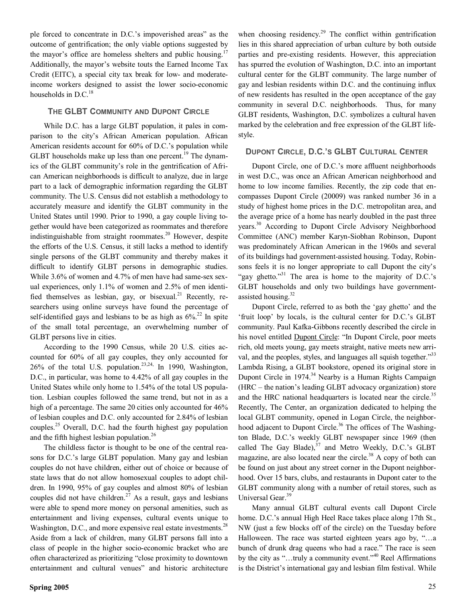ple forced to concentrate in D.C.'s impoverished areas" as the outcome of gentrification; the only viable options suggested by the mayor's office are homeless shelters and public housing.<sup>17</sup> Additionally, the mayor's website touts the Earned Income Tax Credit (EITC), a special city tax break for low- and moderateincome workers designed to assist the lower socio-economic households in  $D.C.<sup>18</sup>$ 

#### **THE GLBT COMMUNITY AND DUPONT CIRCLE**

While D.C. has a large GLBT population, it pales in comparison to the city's African American population. African American residents account for 60% of D.C.'s population while GLBT households make up less than one percent.<sup>19</sup> The dynamics of the GLBT community's role in the gentrification of African American neighborhoods is difficult to analyze, due in large part to a lack of demographic information regarding the GLBT community. The U.S. Census did not establish a methodology to accurately measure and identify the GLBT community in the United States until 1990. Prior to 1990, a gay couple living together would have been categorized as roommates and therefore indistinguishable from straight roommates.20 However, despite the efforts of the U.S. Census, it still lacks a method to identify single persons of the GLBT community and thereby makes it difficult to identify GLBT persons in demographic studies. While 3.6% of women and 4.7% of men have had same-sex sexual experiences, only 1.1% of women and 2.5% of men identified themselves as lesbian, gay, or bisexual.<sup>21</sup> Recently, researchers using online surveys have found the percentage of self-identified gays and lesbians to be as high as  $6\%$ <sup>22</sup> In spite of the small total percentage, an overwhelming number of GLBT persons live in cities.

According to the 1990 Census, while 20 U.S. cities accounted for 60% of all gay couples, they only accounted for 26% of the total U.S. population.23,24, In 1990, Washington, D.C., in particular, was home to 4.42% of all gay couples in the United States while only home to 1.54% of the total US population. Lesbian couples followed the same trend, but not in as a high of a percentage. The same 20 cities only accounted for  $46\%$ of lesbian couples and D.C. only accounted for 2.84% of lesbian couples.25 Overall, D.C. had the fourth highest gay population and the fifth highest lesbian population.26

The childless factor is thought to be one of the central reasons for D.C.'s large GLBT population. Many gay and lesbian couples do not have children, either out of choice or because of state laws that do not allow homosexual couples to adopt children. In 1990, 95% of gay couples and almost 80% of lesbian couples did not have children.<sup>27</sup> As a result, gays and lesbians were able to spend more money on personal amenities, such as entertainment and living expenses, cultural events unique to Washington, D.C., and more expensive real estate investments.<sup>28</sup> Aside from a lack of children, many GLBT persons fall into a class of people in the higher socio-economic bracket who are often characterized as prioritizing "close proximity to downtown entertainment and cultural venues" and historic architecture when choosing residency.<sup>29</sup> The conflict within gentrification lies in this shared appreciation of urban culture by both outside parties and pre-existing residents. However, this appreciation has spurred the evolution of Washington, D.C. into an important cultural center for the GLBT community. The large number of gay and lesbian residents within D.C. and the continuing influx of new residents has resulted in the open acceptance of the gay community in several D.C. neighborhoods. Thus, for many GLBT residents, Washington, D.C. symbolizes a cultural haven marked by the celebration and free expression of the GLBT lifestyle.

#### **DUPONT CIRCLE, D.C.'S GLBT CULTURAL CENTER**

Dupont Circle, one of D.C.'s more affluent neighborhoods in west D.C., was once an African American neighborhood and home to low income families. Recently, the zip code that encompasses Dupont Circle (20009) was ranked number 36 in a study of highest home prices in the D.C. metropolitan area, and the average price of a home has nearly doubled in the past three years.30 According to Dupont Circle Advisory Neighborhood Committee (ANC) member Karyn-Siobhan Robinson, Dupont was predominately African American in the 1960s and several of its buildings had government-assisted housing. Today, Robinsons feels it is no longer appropriate to call Dupont the city's "gay ghetto."<sup>31</sup> The area is home to the majority of D.C.'s GLBT households and only two buildings have governmentassisted housing.<sup>32</sup>

Dupont Circle, referred to as both the 'gay ghetto' and the 'fruit loop' by locals, is the cultural center for D.C.'s GLBT community. Paul Kafka-Gibbons recently described the circle in his novel entitled Dupont Circle: "In Dupont Circle, poor meets rich, old meets young, gay meets straight, native meets new arrival, and the peoples, styles, and languages all squish together."<sup>33</sup> Lambda Rising, a GLBT bookstore, opened its original store in Dupont Circle in 1974.<sup>34</sup> Nearby is a Human Rights Campaign (HRC – the nation's leading GLBT advocacy organization) store and the HRC national headquarters is located near the circle.<sup>35</sup> Recently, The Center, an organization dedicated to helping the local GLBT community, opened in Logan Circle, the neighborhood adjacent to Dupont Circle.<sup>36</sup> The offices of The Washington Blade, D.C.'s weekly GLBT newspaper since 1969 (then called The Gay Blade), $37$  and Metro Weekly, D.C.'s GLBT magazine, are also located near the circle.<sup>38</sup> A copy of both can be found on just about any street corner in the Dupont neighborhood. Over 15 bars, clubs, and restaurants in Dupont cater to the GLBT community along with a number of retail stores, such as Universal Gear.<sup>39</sup>

Many annual GLBT cultural events call Dupont Circle home. D.C.'s annual High Heel Race takes place along 17th St., NW (just a few blocks off of the circle) on the Tuesday before Halloween. The race was started eighteen years ago by, "…a bunch of drunk drag queens who had a race." The race is seen by the city as "...truly a community event."<sup>40</sup> Reel Affirmations is the District's international gay and lesbian film festival. While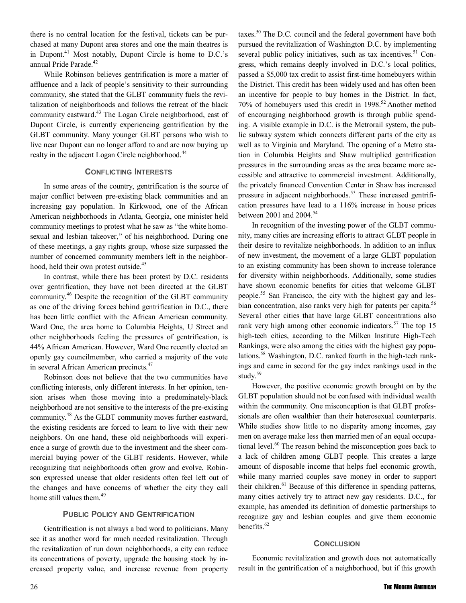there is no central location for the festival, tickets can be purchased at many Dupont area stores and one the main theatres is in Dupont.<sup>41</sup> Most notably, Dupont Circle is home to D.C.'s annual Pride Parade.<sup>42</sup>

While Robinson believes gentrification is more a matter of affluence and a lack of people's sensitivity to their surrounding community, she stated that the GLBT community fuels the revitalization of neighborhoods and follows the retreat of the black community eastward.<sup>43</sup> The Logan Circle neighborhood, east of Dupont Circle, is currently experiencing gentrification by the GLBT community. Many younger GLBT persons who wish to live near Dupont can no longer afford to and are now buying up realty in the adjacent Logan Circle neighborhood.<sup>44</sup>

### **CONFLICTING INTERESTS**

In some areas of the country, gentrification is the source of major conflict between pre-existing black communities and an increasing gay population. In Kirkwood, one of the African American neighborhoods in Atlanta, Georgia, one minister held community meetings to protest what he saw as "the white homosexual and lesbian takeover," of his neighborhood. During one of these meetings, a gay rights group, whose size surpassed the number of concerned community members left in the neighborhood, held their own protest outside.<sup>45</sup>

In contrast, while there has been protest by D.C. residents over gentrification, they have not been directed at the GLBT community.46 Despite the recognition of the GLBT community as one of the driving forces behind gentrification in D.C., there has been little conflict with the African American community. Ward One, the area home to Columbia Heights, U Street and other neighborhoods feeling the pressures of gentrification, is 44% African American. However, Ward One recently elected an openly gay councilmember, who carried a majority of the vote in several African American precincts.<sup>47</sup>

Robinson does not believe that the two communities have conflicting interests, only different interests. In her opinion, tension arises when those moving into a predominately-black neighborhood are not sensitive to the interests of the pre-existing community.48 As the GLBT community moves further eastward, the existing residents are forced to learn to live with their new neighbors. On one hand, these old neighborhoods will experience a surge of growth due to the investment and the sheer commercial buying power of the GLBT residents. However, while recognizing that neighborhoods often grow and evolve, Robinson expressed unease that older residents often feel left out of the changes and have concerns of whether the city they call home still values them.<sup>49</sup>

### **PUBLIC POLICY AND GENTRIFICATION**

Gentrification is not always a bad word to politicians. Many see it as another word for much needed revitalization. Through the revitalization of run down neighborhoods, a city can reduce its concentrations of poverty, upgrade the housing stock by increased property value, and increase revenue from property taxes.<sup>50</sup> The D.C. council and the federal government have both pursued the revitalization of Washington D.C. by implementing several public policy initiatives, such as tax incentives.<sup>51</sup> Congress, which remains deeply involved in D.C.'s local politics, passed a \$5,000 tax credit to assist first-time homebuyers within the District. This credit has been widely used and has often been an incentive for people to buy homes in the District. In fact, 70% of homebuyers used this credit in 1998.<sup>52</sup> Another method of encouraging neighborhood growth is through public spending. A visible example in D.C. is the Metrorail system, the public subway system which connects different parts of the city as well as to Virginia and Maryland. The opening of a Metro station in Columbia Heights and Shaw multiplied gentrification pressures in the surrounding areas as the area became more accessible and attractive to commercial investment. Additionally, the privately financed Convention Center in Shaw has increased pressure in adjacent neighborhoods.<sup>53</sup> These increased gentrification pressures have lead to a 116% increase in house prices between 2001 and 2004.<sup>54</sup>

In recognition of the investing power of the GLBT community, many cities are increasing efforts to attract GLBT people in their desire to revitalize neighborhoods. In addition to an influx of new investment, the movement of a large GLBT population to an existing community has been shown to increase tolerance for diversity within neighborhoods. Additionally, some studies have shown economic benefits for cities that welcome GLBT people.55 San Francisco, the city with the highest gay and lesbian concentration, also ranks very high for patents per capita.<sup>56</sup> Several other cities that have large GLBT concentrations also rank very high among other economic indicators.<sup>57</sup> The top 15 high-tech cities, according to the Milken Institute High-Tech Rankings, were also among the cities with the highest gay populations.58 Washington, D.C. ranked fourth in the high-tech rankings and came in second for the gay index rankings used in the study.59

However, the positive economic growth brought on by the GLBT population should not be confused with individual wealth within the community. One misconception is that GLBT professionals are often wealthier than their heterosexual counterparts. While studies show little to no disparity among incomes, gay men on average make less then married men of an equal occupational level.<sup>60</sup> The reason behind the misconception goes back to a lack of children among GLBT people. This creates a large amount of disposable income that helps fuel economic growth, while many married couples save money in order to support their children.<sup>61</sup> Because of this difference in spending patterns, many cities actively try to attract new gay residents. D.C., for example, has amended its definition of domestic partnerships to recognize gay and lesbian couples and give them economic benefits.<sup>62</sup>

#### **CONCLUSION**

Economic revitalization and growth does not automatically result in the gentrification of a neighborhood, but if this growth